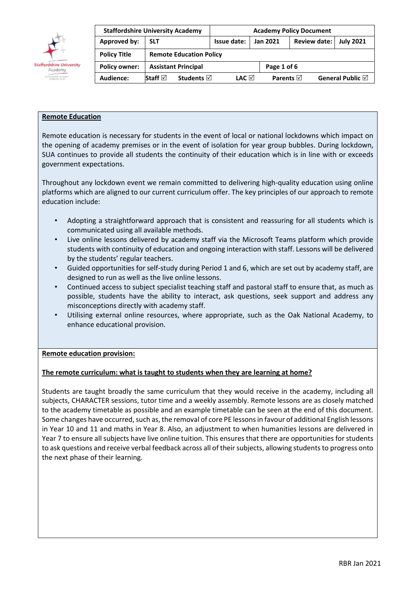

|                      | <b>Staffordshire University Academy</b> |                                | <b>Academy Policy Document</b> |                     |                         |  |  |  |  |  |
|----------------------|-----------------------------------------|--------------------------------|--------------------------------|---------------------|-------------------------|--|--|--|--|--|
| Approved by:         | <b>SLT</b>                              | Issue date:                    | Jan 2021                       | Review date:        | <b>July 2021</b>        |  |  |  |  |  |
| <b>Policy Title</b>  |                                         | <b>Remote Education Policy</b> |                                |                     |                         |  |  |  |  |  |
| <b>Policy owner:</b> | <b>Assistant Principal</b>              |                                |                                | Page 1 of 6         |                         |  |  |  |  |  |
| Audience:            | Staff $\boxdot$<br><b>Students</b> ⊠    | LAC ⊠                          |                                | Parents $\boxtimes$ | General Public <b>☑</b> |  |  |  |  |  |

## **Remote Education**

Remote education is necessary for students in the event of local or national lockdowns which impact on the opening of academy premises or in the event of isolation for year group bubbles. During lockdown, SUA continues to provide all students the continuity of their education which is in line with or exceeds government expectations.

Throughout any lockdown event we remain committed to delivering high-quality education using online platforms which are aligned to our current curriculum offer. The key principles of our approach to remote education include:

- Adopting a straightforward approach that is consistent and reassuring for all students which is communicated using all available methods.
- Live online lessons delivered by academy staff via the Microsoft Teams platform which provide students with continuity of education and ongoing interaction with staff. Lessons will be delivered by the students' regular teachers.
- Guided opportunities for self-study during Period 1 and 6, which are set out by academy staff, are designed to run as well as the live online lessons.
- Continued access to subject specialist teaching staff and pastoral staff to ensure that, as much as possible, students have the ability to interact, ask questions, seek support and address any misconceptions directly with academy staff.
- Utilising external online resources, where appropriate, such as the Oak National Academy, to enhance educational provision.

#### **Remote education provision:**

#### **The remote curriculum: what is taught to students when they are learning at home?**

Students are taught broadly the same curriculum that they would receive in the academy, including all subjects, CHARACTER sessions, tutor time and a weekly assembly. Remote lessons are as closely matched to the academy timetable as possible and an example timetable can be seen at the end of this document. Some changes have occurred, such as, the removal of core PE lessons in favour of additional English lessons in Year 10 and 11 and maths in Year 8. Also, an adjustment to when humanities lessons are delivered in Year 7 to ensure all subjects have live online tuition. This ensures that there are opportunities for students to ask questions and receive verbal feedback across all of their subjects, allowing students to progress onto the next phase of their learning.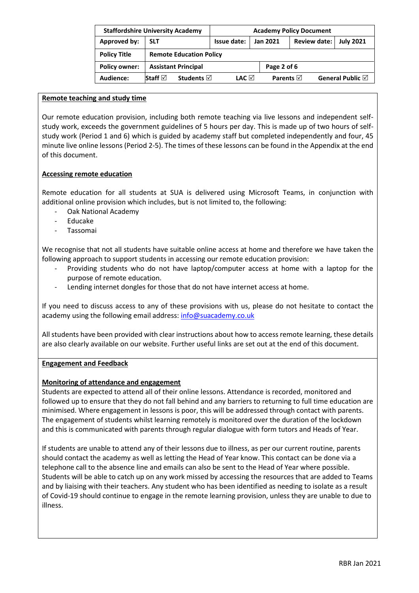|                      | <b>Staffordshire University Academy</b> | <b>Academy Policy Document</b> |             |                         |              |  |                            |  |  |  |
|----------------------|-----------------------------------------|--------------------------------|-------------|-------------------------|--------------|--|----------------------------|--|--|--|
| Approved by:         | <b>SLT</b>                              | Issue date:                    | Jan 2021    |                         | Review date: |  | <b>July 2021</b>           |  |  |  |
| <b>Policy Title</b>  |                                         | <b>Remote Education Policy</b> |             |                         |              |  |                            |  |  |  |
| <b>Policy owner:</b> | <b>Assistant Principal</b>              |                                | Page 2 of 6 |                         |              |  |                            |  |  |  |
| Audience:            | Staff $\boxdot$<br>Students $\boxtimes$ | LAC ⊠                          |             | Parents $\triangledown$ |              |  | General Public $\boxtimes$ |  |  |  |

#### **Remote teaching and study time**

Our remote education provision, including both remote teaching via live lessons and independent selfstudy work, exceeds the government guidelines of 5 hours per day. This is made up of two hours of selfstudy work (Period 1 and 6) which is guided by academy staff but completed independently and four, 45 minute live online lessons (Period 2-5). The times of these lessons can be found in the Appendix at the end of this document.

#### **Accessing remote education**

Remote education for all students at SUA is delivered using Microsoft Teams, in conjunction with additional online provision which includes, but is not limited to, the following:

- Oak National Academy
- Educake
- Tassomai

We recognise that not all students have suitable online access at home and therefore we have taken the following approach to support students in accessing our remote education provision:

- Providing students who do not have laptop/computer access at home with a laptop for the purpose of remote education.
- Lending internet dongles for those that do not have internet access at home.

If you need to discuss access to any of these provisions with us, please do not hesitate to contact the academy using the following email address: [info@suacademy.co.uk](mailto:info@suacademy.co.uk)

All students have been provided with clear instructions about how to access remote learning, these details are also clearly available on our website. Further useful links are set out at the end of this document.

#### **Engagement and Feedback**

#### **Monitoring of attendance and engagement**

Students are expected to attend all of their online lessons. Attendance is recorded, monitored and followed up to ensure that they do not fall behind and any barriers to returning to full time education are minimised. Where engagement in lessons is poor, this will be addressed through contact with parents. The engagement of students whilst learning remotely is monitored over the duration of the lockdown and this is communicated with parents through regular dialogue with form tutors and Heads of Year.

If students are unable to attend any of their lessons due to illness, as per our current routine, parents should contact the academy as well as letting the Head of Year know. This contact can be done via a telephone call to the absence line and emails can also be sent to the Head of Year where possible. Students will be able to catch up on any work missed by accessing the resources that are added to Teams and by liaising with their teachers. Any student who has been identified as needing to isolate as a result of Covid-19 should continue to engage in the remote learning provision, unless they are unable to due to illness.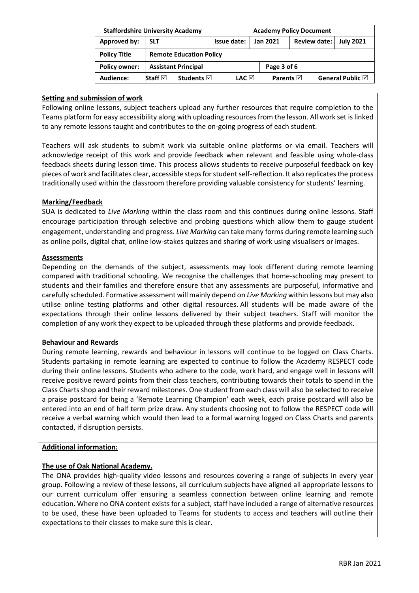|                      | <b>Staffordshire University Academy</b>   | <b>Academy Policy Document</b> |             |                     |                     |  |                            |  |  |  |
|----------------------|-------------------------------------------|--------------------------------|-------------|---------------------|---------------------|--|----------------------------|--|--|--|
| Approved by:         | <b>SLT</b>                                | Issue date:                    | Jan 2021    |                     | <b>Review date:</b> |  | <b>July 2021</b>           |  |  |  |
| <b>Policy Title</b>  |                                           | <b>Remote Education Policy</b> |             |                     |                     |  |                            |  |  |  |
| <b>Policy owner:</b> | <b>Assistant Principal</b>                |                                | Page 3 of 6 |                     |                     |  |                            |  |  |  |
| Audience:            | Staff $\boxtimes$<br>Students $\boxtimes$ | LAC ⊠                          |             | Parents $\boxtimes$ |                     |  | General Public $\boxtimes$ |  |  |  |

#### **Setting and submission of work**

Following online lessons, subject teachers upload any further resources that require completion to the Teams platform for easy accessibility along with uploading resources from the lesson. All work set is linked to any remote lessons taught and contributes to the on-going progress of each student.

Teachers will ask students to submit work via suitable online platforms or via email. Teachers will acknowledge receipt of this work and provide feedback when relevant and feasible using whole-class feedback sheets during lesson time. This process allows students to receive purposeful feedback on key pieces of work and facilitates clear, accessible steps for student self-reflection. It also replicates the process traditionally used within the classroom therefore providing valuable consistency for students' learning.

# **Marking/Feedback**

SUA is dedicated to *Live Marking* within the class room and this continues during online lessons. Staff encourage participation through selective and probing questions which allow them to gauge student engagement, understanding and progress. *Live Marking* can take many forms during remote learning such as online polls, digital chat, online low-stakes quizzes and sharing of work using visualisers or images.

## **Assessments**

Depending on the demands of the subject, assessments may look different during remote learning compared with traditional schooling. We recognise the challenges that home-schooling may present to students and their families and therefore ensure that any assessments are purposeful, informative and carefully scheduled. Formative assessment will mainly depend on *Live Marking* within lessons but may also utilise online testing platforms and other digital resources. All students will be made aware of the expectations through their online lessons delivered by their subject teachers. Staff will monitor the completion of any work they expect to be uploaded through these platforms and provide feedback.

#### **Behaviour and Rewards**

During remote learning, rewards and behaviour in lessons will continue to be logged on Class Charts. Students partaking in remote learning are expected to continue to follow the Academy RESPECT code during their online lessons. Students who adhere to the code, work hard, and engage well in lessons will receive positive reward points from their class teachers, contributing towards their totals to spend in the Class Charts shop and their reward milestones. One student from each class will also be selected to receive a praise postcard for being a 'Remote Learning Champion' each week, each praise postcard will also be entered into an end of half term prize draw. Any students choosing not to follow the RESPECT code will receive a verbal warning which would then lead to a formal warning logged on Class Charts and parents contacted, if disruption persists.

#### **Additional information:**

# **The use of Oak National Academy.**

The ONA provides high-quality video lessons and resources covering a range of subjects in every year group. Following a review of these lessons, all curriculum subjects have aligned all appropriate lessons to our current curriculum offer ensuring a seamless connection between online learning and remote education. Where no ONA content exists for a subject, staff have included a range of alternative resources to be used, these have been uploaded to Teams for students to access and teachers will outline their expectations to their classes to make sure this is clear.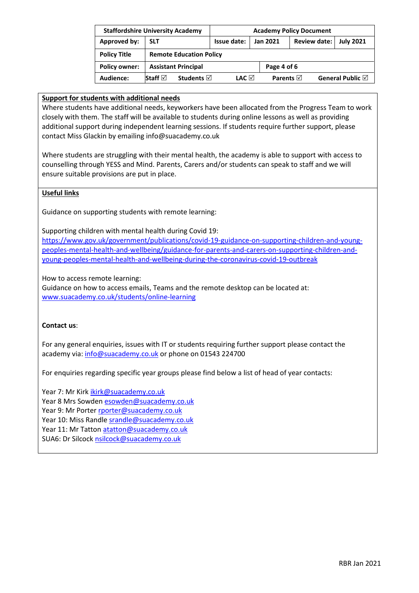|                      | <b>Staffordshire University Academy</b> | <b>Academy Policy Document</b> |  |                     |                  |                  |  |  |  |  |
|----------------------|-----------------------------------------|--------------------------------|--|---------------------|------------------|------------------|--|--|--|--|
| Approved by:         | <b>SLT</b>                              | Jan 2021                       |  | Review date:        | <b>July 2021</b> |                  |  |  |  |  |
| <b>Policy Title</b>  |                                         | <b>Remote Education Policy</b> |  |                     |                  |                  |  |  |  |  |
| <b>Policy owner:</b> | <b>Assistant Principal</b>              |                                |  | Page 4 of 6         |                  |                  |  |  |  |  |
| Audience:            | Staff $\boxdot$<br><b>Students</b> ⊠    | LAC ⊠                          |  | Parents $\boxtimes$ |                  | General Public ⊠ |  |  |  |  |

#### **Support for students with additional needs**

Where students have additional needs, keyworkers have been allocated from the Progress Team to work closely with them. The staff will be available to students during online lessons as well as providing additional support during independent learning sessions. If students require further support, please contact Miss Glackin by emailing info@suacademy.co.uk

Where students are struggling with their mental health, the academy is able to support with access to counselling through YESS and Mind. Parents, Carers and/or students can speak to staff and we will ensure suitable provisions are put in place.

## **Useful links**

Guidance on supporting students with remote learning:

Supporting children with mental health during Covid 19:

[https://www.gov.uk/government/publications/covid-19-guidance-on-supporting-children-and-young](https://www.gov.uk/government/publications/covid-19-guidance-on-supporting-children-and-young-peoples-mental-health-and-wellbeing/guidance-for-parents-and-carers-on-supporting-children-and-young-peoples-mental-health-and-wellbeing-during-the-coronavirus-covid-19-outbreak)[peoples-mental-health-and-wellbeing/guidance-for-parents-and-carers-on-supporting-children-and](https://www.gov.uk/government/publications/covid-19-guidance-on-supporting-children-and-young-peoples-mental-health-and-wellbeing/guidance-for-parents-and-carers-on-supporting-children-and-young-peoples-mental-health-and-wellbeing-during-the-coronavirus-covid-19-outbreak)[young-peoples-mental-health-and-wellbeing-during-the-coronavirus-covid-19-outbreak](https://www.gov.uk/government/publications/covid-19-guidance-on-supporting-children-and-young-peoples-mental-health-and-wellbeing/guidance-for-parents-and-carers-on-supporting-children-and-young-peoples-mental-health-and-wellbeing-during-the-coronavirus-covid-19-outbreak)

How to access remote learning:

Guidance on how to access emails, Teams and the remote desktop can be located at: [www.suacademy.co.uk/students/online-learning](http://www.suacademy.co.uk/students/online-learning)

#### **Contact us**:

For any general enquiries, issues with IT or students requiring further support please contact the academy via: [info@suacademy.co.uk](mailto:info@suacademy.co.uk) or phone on 01543 224700

For enquiries regarding specific year groups please find below a list of head of year contacts:

Year 7: Mr Kirk [ikirk@suacademy.co.uk](mailto:ikirk@suacademy.co.uk)

Year 8 Mrs Sowde[n esowden@suacademy.co.uk](mailto:esowden@suacademy.co.uk)

Year 9: Mr Porte[r rporter@suacademy.co.uk](mailto:rporter@suacademy.co.uk)

Year 10: Miss Randle [srandle@suacademy.co.uk](mailto:srandle@suacademy.co.uk)

Year 11: Mr Tatton [atatton@suacademy.co.uk](mailto:atatton@suacademy.co.uk)

SUA6: Dr Silcock [nsilcock@suacademy.co.uk](mailto:nsilcock@suacademy.co.uk)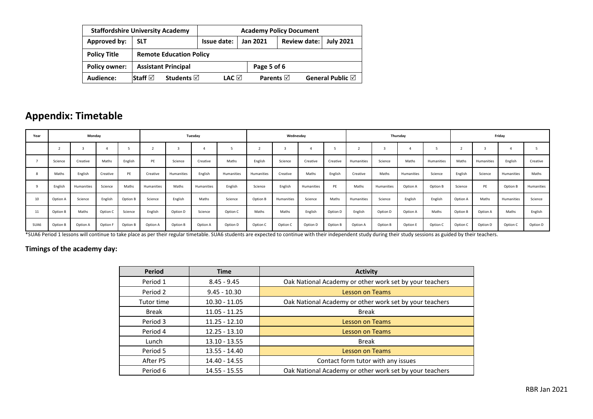|                      | <b>Staffordshire University Academy</b>     | <b>Academy Policy Document</b> |             |                         |                |  |                            |  |  |
|----------------------|---------------------------------------------|--------------------------------|-------------|-------------------------|----------------|--|----------------------------|--|--|
| <b>Approved by:</b>  | <b>SLT</b>                                  | Issue date:                    |             | <b>Jan 2021</b>         | Review date: I |  | <b>July 2021</b>           |  |  |
| <b>Policy Title</b>  |                                             | <b>Remote Education Policy</b> |             |                         |                |  |                            |  |  |
| <b>Policy owner:</b> | <b>Assistant Principal</b>                  |                                | Page 5 of 6 |                         |                |  |                            |  |  |
| Audience:            | Staff $\boxdot$<br>Students $\triangledown$ | LAC ⊠                          |             | Parents $\triangledown$ |                |  | General Public $\boxtimes$ |  |  |

# **Appendix: Timetable**

| Year |          | Monday     |          |          |            |            | Tuesday    |            |            | Thursday<br>Wednesday |            |          |            | Friday     |            |            |          |            |            |            |
|------|----------|------------|----------|----------|------------|------------|------------|------------|------------|-----------------------|------------|----------|------------|------------|------------|------------|----------|------------|------------|------------|
|      |          |            |          |          |            |            |            |            |            |                       | Δ          |          |            |            |            |            |          |            |            |            |
|      | Science  | Creative   | Maths    | English  | PE         | Science    | Creative   | Maths      | English    | Science               | Creative   | Creative | Humanities | Science    | Maths      | Humanities | Maths    | Humanities | English    | Creative   |
| -8   | Maths    | English    | Creative | PE       | Creative   | Humanities | English    | Humanities | Humanities | Creative              | Maths      | English  | Creative   | Maths      | Humanities | Science    | English  | Science    | Humanities | Maths      |
|      | English  | Humanities | Science  | Maths    | Humanities | Maths      | Humanities | English    | Science    | English               | Humanities | PE       | Maths      | Humanities | Option A   | Option B   | Science  | PE         | Option B   | Humanities |
| 10   | Option A | Science    | English  | Option B | Science    | English    | Maths      | Science    | Option B   | Humanities            | Science    | Maths    | Humanities | Science    | English    | English    | Option A | Maths      | Humanities | Science    |
| 11   | Option B | Maths      | Option C | Science  | English    | Option D   | Science    | Option C   | Maths      | Maths                 | English    | Option D | English    | Option D   | Option A   | Maths      | Option B | Option A   | Maths      | English    |
| SUA6 | Option B | Option A   | Option F | Option B | Option A   | Option B   | Option A   | Option D   | Option C   | Option C              | Option D   | Option B | Option A   | Option B   | Option E   | Option C   | Option C | Option D   | Option C   | Option D   |

\*SUA6 Period 1 lessons will continue to take place as per their regular timetable. SUA6 students are expected to continue with their independent study during their study sessions as guided by their teachers.

# **Timings of the academy day:**

| <b>Period</b> | <b>Time</b>     | <b>Activity</b>                                         |
|---------------|-----------------|---------------------------------------------------------|
| Period 1      | $8.45 - 9.45$   | Oak National Academy or other work set by your teachers |
| Period 2      | $9.45 - 10.30$  | <b>Lesson on Teams</b>                                  |
| Tutor time    | $10.30 - 11.05$ | Oak National Academy or other work set by your teachers |
| <b>Break</b>  | $11.05 - 11.25$ | <b>Break</b>                                            |
| Period 3      | $11.25 - 12.10$ | <b>Lesson on Teams</b>                                  |
| Period 4      | $12.25 - 13.10$ | <b>Lesson on Teams</b>                                  |
| Lunch         | $13.10 - 13.55$ | <b>Break</b>                                            |
| Period 5      | 13.55 - 14.40   | <b>Lesson on Teams</b>                                  |
| After P5      | 14.40 - 14.55   | Contact form tutor with any issues                      |
| Period 6      | $14.55 - 15.55$ | Oak National Academy or other work set by your teachers |